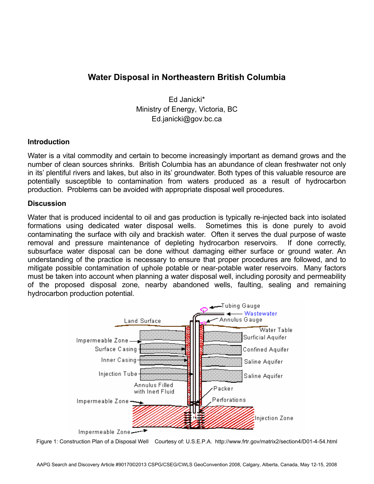# **Water Disposal in Northeastern British Columbia**

Ed Janicki\* Ministry of Energy, Victoria, BC Ed.janicki@gov.bc.ca

### **Introduction**

Water is a vital commodity and certain to become increasingly important as demand grows and the number of clean sources shrinks. British Columbia has an abundance of clean freshwater not only in its' plentiful rivers and lakes, but also in its' groundwater. Both types of this valuable resource are potentially susceptible to contamination from waters produced as a result of hydrocarbon production. Problems can be avoided with appropriate disposal well procedures.

### **Discussion**

Water that is produced incidental to oil and gas production is typically re-injected back into isolated formations using dedicated water disposal wells. Sometimes this is done purely to avoid contaminating the surface with oily and brackish water. Often it serves the dual purpose of waste removal and pressure maintenance of depleting hydrocarbon reservoirs. If done correctly, subsurface water disposal can be done without damaging either surface or ground water. An understanding of the practice is necessary to ensure that proper procedures are followed, and to mitigate possible contamination of uphole potable or near-potable water reservoirs. Many factors must be taken into account when planning a water disposal well, including porosity and permeability of the proposed disposal zone, nearby abandoned wells, faulting, sealing and remaining hydrocarbon production potential.



Figure 1: Construction Plan of a Disposal Well Courtesy of: U.S.E.P.A. http://www.frtr.gov/matrix2/section4/D01-4-54.html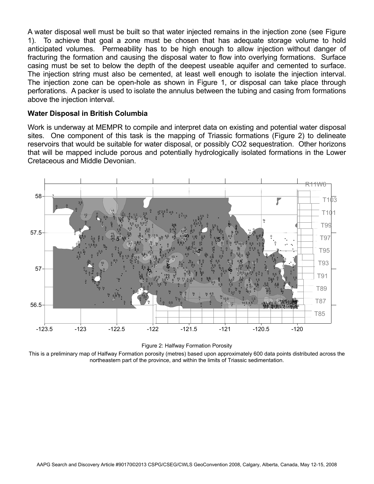A water disposal well must be built so that water injected remains in the injection zone (see Figure 1). To achieve that goal a zone must be chosen that has adequate storage volume to hold anticipated volumes. Permeability has to be high enough to allow injection without danger of fracturing the formation and causing the disposal water to flow into overlying formations. Surface casing must be set to below the depth of the deepest useable aquifer and cemented to surface. The injection string must also be cemented, at least well enough to isolate the injection interval. The injection zone can be open-hole as shown in Figure 1, or disposal can take place through perforations. A packer is used to isolate the annulus between the tubing and casing from formations above the injection interval.

## **Water Disposal in British Columbia**

Work is underway at MEMPR to compile and interpret data on existing and potential water disposal sites. One component of this task is the mapping of Triassic formations (Figure 2) to delineate reservoirs that would be suitable for water disposal, or possibly CO2 sequestration. Other horizons that will be mapped include porous and potentially hydrologically isolated formations in the Lower Cretaceous and Middle Devonian.



Figure 2: Halfway Formation Porosity

This is a preliminary map of Halfway Formation porosity (metres) based upon approximately 600 data points distributed across the northeastern part of the province, and within the limits of Triassic sedimentation.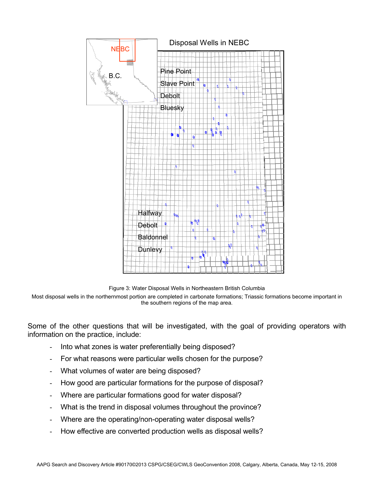

Figure 3: Water Disposal Wells in Northeastern British Columbia

Most disposal wells in the northernmost portion are completed in carbonate formations; Triassic formations become important in the southern regions of the map area.

Some of the other questions that will be investigated, with the goal of providing operators with information on the practice, include:

- Into what zones is water preferentially being disposed?
- For what reasons were particular wells chosen for the purpose?
- What volumes of water are being disposed?
- How good are particular formations for the purpose of disposal?
- Where are particular formations good for water disposal?
- What is the trend in disposal volumes throughout the province?
- Where are the operating/non-operating water disposal wells?
- How effective are converted production wells as disposal wells?